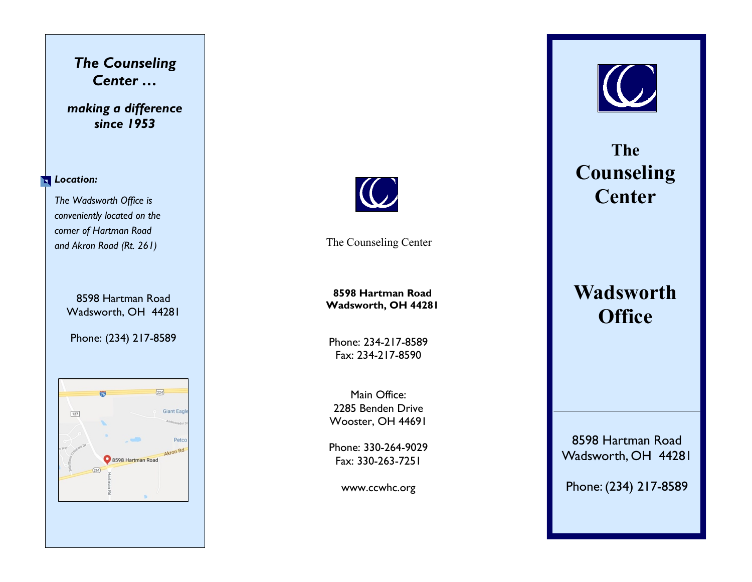## *The Counseling Center …*

## *making a difference since 1953*

#### **Location:**

*The Wadsworth Office is conveniently located on the corner of Hartman Road and Akron Road (Rt. 261)* 

> 8598 Hartman Road Wadsworth, OH 44281

Phone: (234) 217-8589





The Counseling Center

**8598 Hartman Road Wadsworth, OH 44281**

Phone: 234-217-8589 Fax: 234-217-8590

Main Office: 2285 Benden Drive Wooster, OH 44691

Phone: 330-264-9029 Fax: 330-263-7251

www.ccwhc.org



**The Counseling Center**

# **Wadsworth Office**

8598 Hartman Road Wadsworth, OH 44281

Phone: (234) 217-8589